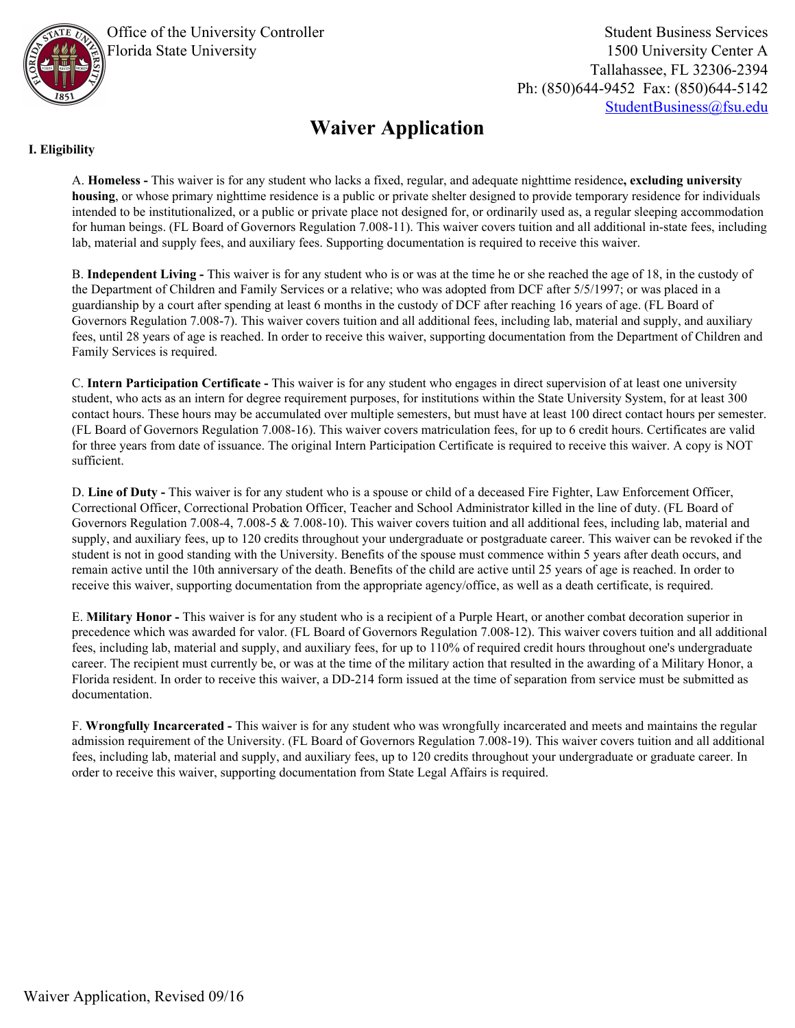

Office of the University Controller Florida State University

Student Business Services 1500 University Center A Tallahassee, FL 32306-2394 Ph: (850)644-9452 Fax: (850)644-5142 [StudentBusiness@fsu.edu](mailto:studentbusiness@fsu.edu?subject=Waiver%20Application)

## **Waiver Application**

### **I. Eligibility**

A. **Homeless -** This waiver is for any student who lacks a fixed, regular, and adequate nighttime residence**, excluding university housing**, or whose primary nighttime residence is a public or private shelter designed to provide temporary residence for individuals intended to be institutionalized, or a public or private place not designed for, or ordinarily used as, a regular sleeping accommodation for human beings. (FL Board of Governors Regulation 7.008-11). This waiver covers tuition and all additional in-state fees, including lab, material and supply fees, and auxiliary fees. Supporting documentation is required to receive this waiver.

B. **Independent Living -** This waiver is for any student who is or was at the time he or she reached the age of 18, in the custody of the Department of Children and Family Services or a relative; who was adopted from DCF after 5/5/1997; or was placed in a guardianship by a court after spending at least 6 months in the custody of DCF after reaching 16 years of age. (FL Board of Governors Regulation 7.008-7). This waiver covers tuition and all additional fees, including lab, material and supply, and auxiliary fees, until 28 years of age is reached. In order to receive this waiver, supporting documentation from the Department of Children and Family Services is required.

C. **Intern Participation Certificate -** This waiver is for any student who engages in direct supervision of at least one university student, who acts as an intern for degree requirement purposes, for institutions within the State University System, for at least 300 contact hours. These hours may be accumulated over multiple semesters, but must have at least 100 direct contact hours per semester. (FL Board of Governors Regulation 7.008-16). This waiver covers matriculation fees, for up to 6 credit hours. Certificates are valid for three years from date of issuance. The original Intern Participation Certificate is required to receive this waiver. A copy is NOT sufficient.

D. **Line of Duty -** This waiver is for any student who is a spouse or child of a deceased Fire Fighter, Law Enforcement Officer, Correctional Officer, Correctional Probation Officer, Teacher and School Administrator killed in the line of duty. (FL Board of Governors Regulation 7.008-4, 7.008-5 & 7.008-10). This waiver covers tuition and all additional fees, including lab, material and supply, and auxiliary fees, up to 120 credits throughout your undergraduate or postgraduate career. This waiver can be revoked if the student is not in good standing with the University. Benefits of the spouse must commence within 5 years after death occurs, and remain active until the 10th anniversary of the death. Benefits of the child are active until 25 years of age is reached. In order to receive this waiver, supporting documentation from the appropriate agency/office, as well as a death certificate, is required.

E. **Military Honor -** This waiver is for any student who is a recipient of a Purple Heart, or another combat decoration superior in precedence which was awarded for valor. (FL Board of Governors Regulation 7.008-12). This waiver covers tuition and all additional fees, including lab, material and supply, and auxiliary fees, for up to 110% of required credit hours throughout one's undergraduate career. The recipient must currently be, or was at the time of the military action that resulted in the awarding of a Military Honor, a Florida resident. In order to receive this waiver, a DD-214 form issued at the time of separation from service must be submitted as documentation.

F. **Wrongfully Incarcerated -** This waiver is for any student who was wrongfully incarcerated and meets and maintains the regular admission requirement of the University. (FL Board of Governors Regulation 7.008-19). This waiver covers tuition and all additional fees, including lab, material and supply, and auxiliary fees, up to 120 credits throughout your undergraduate or graduate career. In order to receive this waiver, supporting documentation from State Legal Affairs is required.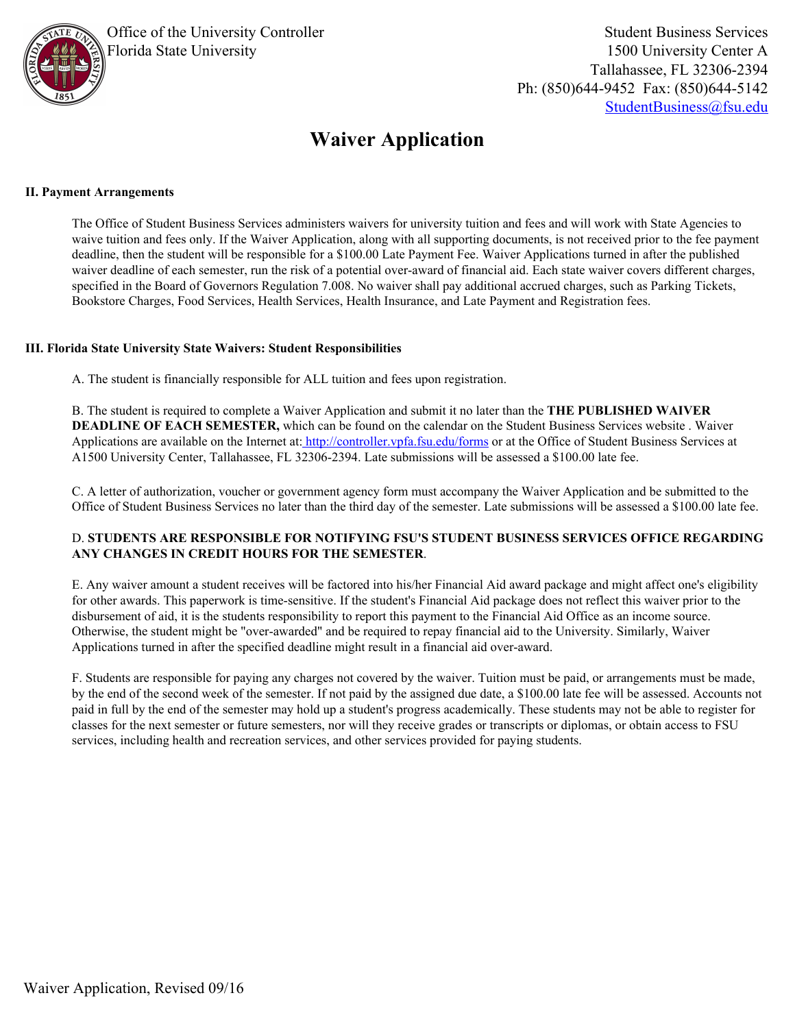

# **Waiver Application**

#### **II. Payment Arrangements**

The Office of Student Business Services administers waivers for university tuition and fees and will work with State Agencies to waive tuition and fees only. If the Waiver Application, along with all supporting documents, is not received prior to the fee payment deadline, then the student will be responsible for a \$100.00 Late Payment Fee. Waiver Applications turned in after the published waiver deadline of each semester, run the risk of a potential over-award of financial aid. Each state waiver covers different charges, specified in the Board of Governors Regulation 7.008. No waiver shall pay additional accrued charges, such as Parking Tickets, Bookstore Charges, Food Services, Health Services, Health Insurance, and Late Payment and Registration fees.

#### **III. Florida State University State Waivers: Student Responsibilities**

A. The student is financially responsible for ALL tuition and fees upon registration.

B. The student is required to complete a Waiver Application and submit it no later than the **THE PUBLISHED WAIVER DEADLINE OF EACH SEMESTER,** which can be found on the calendar on the Student Business Services website . Waiver Applications are available on the Internet at[: http://controller.vpfa.fsu.edu/forms](http://controller.vpfa.fsu.edu/forms) or at the Office of Student Business Services at A1500 University Center, Tallahassee, FL 32306-2394. Late submissions will be assessed a \$100.00 late fee.

C. A letter of authorization, voucher or government agency form must accompany the Waiver Application and be submitted to the Office of Student Business Services no later than the third day of the semester. Late submissions will be assessed a \$100.00 late fee.

#### D. **STUDENTS ARE RESPONSIBLE FOR NOTIFYING FSU'S STUDENT BUSINESS SERVICES OFFICE REGARDING ANY CHANGES IN CREDIT HOURS FOR THE SEMESTER**.

E. Any waiver amount a student receives will be factored into his/her Financial Aid award package and might affect one's eligibility for other awards. This paperwork is time-sensitive. If the student's Financial Aid package does not reflect this waiver prior to the disbursement of aid, it is the students responsibility to report this payment to the Financial Aid Office as an income source. Otherwise, the student might be "over-awarded" and be required to repay financial aid to the University. Similarly, Waiver Applications turned in after the specified deadline might result in a financial aid over-award.

F. Students are responsible for paying any charges not covered by the waiver. Tuition must be paid, or arrangements must be made, by the end of the second week of the semester. If not paid by the assigned due date, a \$100.00 late fee will be assessed. Accounts not paid in full by the end of the semester may hold up a student's progress academically. These students may not be able to register for classes for the next semester or future semesters, nor will they receive grades or transcripts or diplomas, or obtain access to FSU services, including health and recreation services, and other services provided for paying students.